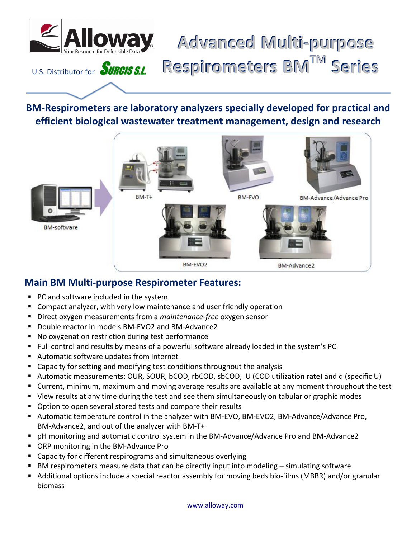

**BM-Respirometers are laboratory analyzers specially developed for practical and efficient biological wastewater treatment management, design and research**



## **Main BM Multi-purpose Respirometer Features:**

- **PC and software included in the system**
- Compact analyzer, with very low maintenance and user friendly operation
- Direct oxygen measurements from a *maintenance-free* oxygen sensor
- Double reactor in models BM-EVO2 and BM-Advance2
- No oxygenation restriction during test performance
- Full control and results by means of a powerful software already loaded in the system's PC
- Automatic software updates from Internet
- Capacity for setting and modifying test conditions throughout the analysis
- Automatic measurements: OUR, SOUR, bCOD, rbCOD, sbCOD, U (COD utilization rate) and q (specific U)
- Current, minimum, maximum and moving average results are available at any moment throughout the test
- View results at any time during the test and see them simultaneously on tabular or graphic modes
- Option to open several stored tests and compare their results
- Automatic temperature control in the analyzer with BM-EVO, BM-EVO2, BM-Advance/Advance Pro, BM-Advance2, and out of the analyzer with BM-T+
- pH monitoring and automatic control system in the BM-Advance/Advance Pro and BM-Advance2
- ORP monitoring in the BM-Advance Pro
- Capacity for different respirograms and simultaneous overlying
- BM respirometers measure data that can be directly input into modeling simulating software
- Additional options include a special reactor assembly for moving beds bio-films (MBBR) and/or granular biomass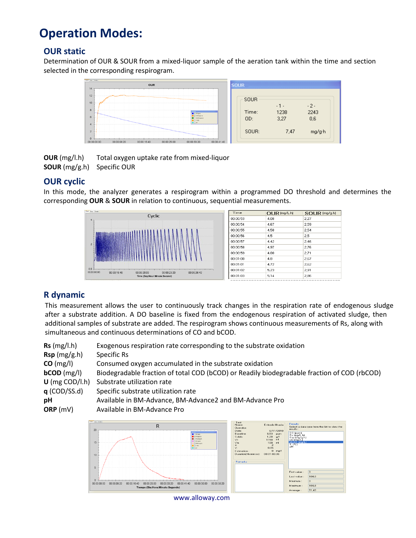## **Operation Modes:**

### **OUR static**

Determination of OUR & SOUR from a mixed-liquor sample of the aeration tank within the time and section selected in the corresponding respirogram.



**OUR** (mg/l.h) Total oxygen uptake rate from mixed-liquor **SOUR** (mg/g.h) Specific OUR

### **OUR cyclic**

In this mode, the analyzer generates a respirogram within a programmed DO threshold and determines the corresponding **OUR** & **SOUR** in relation to continuous, sequential measurements.



### **R dynamic**

This measurement allows the user to continuously track changes in the respiration rate of endogenous sludge after a substrate addition. A DO baseline is fixed from the endogenous respiration of activated sludge, then additional samples of substrate are added. The respirogram shows continuous measurements of Rs, along with simultaneous and continuous determinations of CO and bCOD.

| Rs (mg/l.h)      | Exogenous respiration rate corresponding to the substrate oxidation                         |
|------------------|---------------------------------------------------------------------------------------------|
| Rsp(mg/g.h)      | Specific Rs                                                                                 |
| CO (mg/l)        | Consumed oxygen accumulated in the substrate oxidation                                      |
| $bCOD$ (mg/l)    | Biodegradable fraction of total COD (bCOD) or Readily biodegradable fraction of COD (rbCOD) |
| $U$ (mg COD/l.h) | Substrate utilization rate                                                                  |
| q (COD/SS.d)     | Specific substrate utilization rate                                                         |
| рH               | Available in BM-Advance, BM-Advance2 and BM-Advance Pro                                     |
| ORP (mV)         | Available in BM-Advance Pro                                                                 |
|                  |                                                                                             |



[www.allowa](http://www.surcis.com/)y.com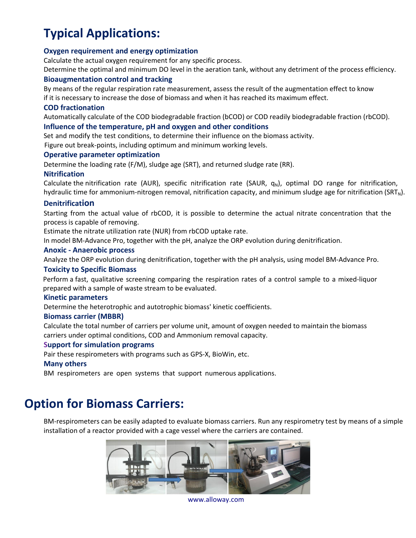# **Typical Applications:**

#### **Oxygen requirement and energy optimization**

Calculate the actual oxygen requirement for any specific process.

Determine the optimal and minimum DO level in the aeration tank, without any detriment of the process efficiency.

#### **Bioaugmentation control and tracking**

By means of the regular respiration rate measurement, assess the result of the augmentation effect to know if it is necessary to increase the dose of biomass and when it has reached its maximum effect.

#### **COD fractionation**

Automatically calculate of the COD biodegradable fraction (bCOD) or COD readily biodegradable fraction (rbCOD).

#### **Influence of the temperature, pH and oxygen and other conditions**

Set and modify the test conditions, to determine their influence on the biomass activity.

Figure out break-points, including optimum and minimum working levels.

#### **Operative parameter optimization**

Determine the loading rate (F/M), sludge age (SRT), and returned sludge rate (RR).

#### **Nitrification**

Calculate the nitrification rate (AUR), specific nitrification rate (SAUR,  $q_N$ ), optimal DO range for nitrification, hydraulic time for ammonium-nitrogen removal, nitrification capacity, and minimum sludge age for nitrification (SRT<sub>N</sub>).

#### **Denitrification**

Starting from the actual value of rbCOD, it is possible to determine the actual nitrate concentration that the process is capable of removing.

Estimate the nitrate utilization rate (NUR) from rbCOD uptake rate.

In model BM-Advance Pro, together with the pH, analyze the ORP evolution during denitrification.

#### **Anoxic - Anaerobic process**

Analyze the ORP evolution during denitrification, together with the pH analysis, using model BM-Advance Pro.

#### **Toxicity to Specific Biomass**

Perform a fast, qualitative screening comparing the respiration rates of a control sample to a mixed-liquor prepared with a sample of waste stream to be evaluated.

#### **Kinetic parameters**

Determine the heterotrophic and autotrophic biomass' kinetic coefficients.

#### **Biomass carrier (MBBR)**

Calculate the total number of carriers per volume unit, amount of oxygen needed to maintain the biomass carriers under optimal conditions, COD and Ammonium removal capacity.

#### **Support for simulation programs**

Pair these respirometers with programs such as GPS-X, BioWin, etc.

#### **Many others**

BM respirometers are open systems that support numerous applications.

## **Option for Biomass Carriers:**

BM-respirometers can be easily adapted to evaluate biomass carriers. Run any respirometry test by means of a simple installation of a reactor provided with a cage vessel where the carriers are contained.



 [www.alloway.co](http://www.surcis.com/)m